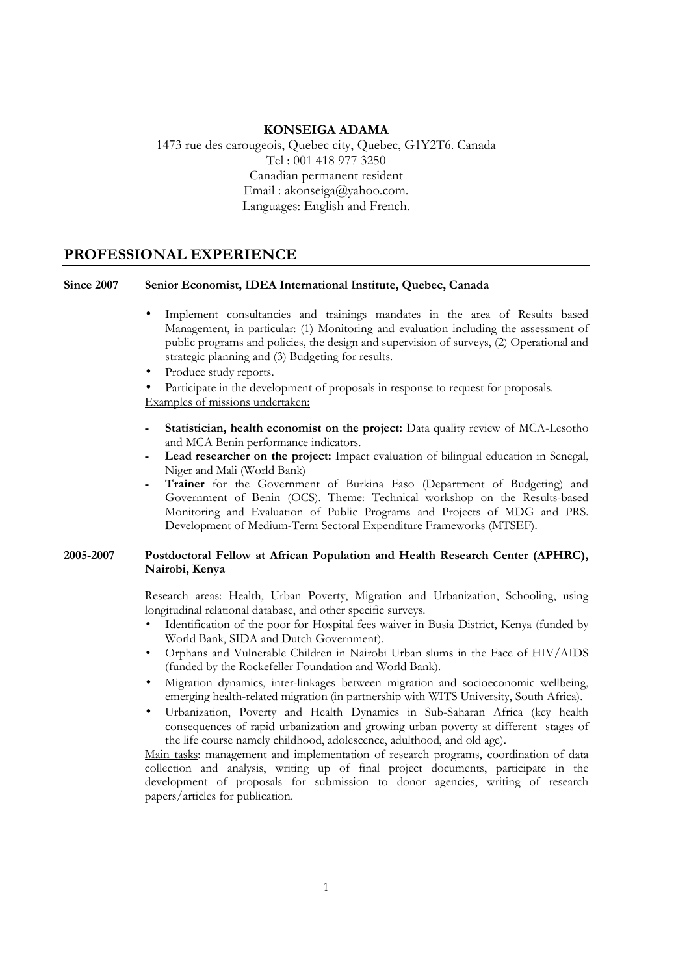### **KONSEIGA ADAMA**

1473 rue des carougeois, Quebec city, Quebec, G1Y2T6. Canada Tel : 001 418 977 3250 Canadian permanent resident Email : akonseiga@yahoo.com. Languages: English and French.

### **PROFESSIONAL EXPERIENCE**

#### **Since 2007 Senior Economist, IDEA International Institute, Quebec, Canada**

- Implement consultancies and trainings mandates in the area of Results based Management, in particular: (1) Monitoring and evaluation including the assessment of public programs and policies, the design and supervision of surveys, (2) Operational and strategic planning and (3) Budgeting for results.
- Produce study reports.

Participate in the development of proposals in response to request for proposals. Examples of missions undertaken:

- **- Statistician, health economist on the project:** Data quality review of MCA-Lesotho and MCA Benin performance indicators.
- **- Lead researcher on the project:** Impact evaluation of bilingual education in Senegal, Niger and Mali (World Bank)
- **- Trainer** for the Government of Burkina Faso (Department of Budgeting) and Government of Benin (OCS). Theme: Technical workshop on the Results-based Monitoring and Evaluation of Public Programs and Projects of MDG and PRS. Development of Medium-Term Sectoral Expenditure Frameworks (MTSEF).

#### **2005-2007 Postdoctoral Fellow at African Population and Health Research Center (APHRC), Nairobi, Kenya**

Research areas: Health, Urban Poverty, Migration and Urbanization, Schooling, using longitudinal relational database, and other specific surveys.

- Identification of the poor for Hospital fees waiver in Busia District, Kenya (funded by World Bank, SIDA and Dutch Government).
- Orphans and Vulnerable Children in Nairobi Urban slums in the Face of HIV/AIDS (funded by the Rockefeller Foundation and World Bank).
- Migration dynamics, inter-linkages between migration and socioeconomic wellbeing, emerging health-related migration (in partnership with WITS University, South Africa).
- Urbanization, Poverty and Health Dynamics in Sub-Saharan Africa (key health consequences of rapid urbanization and growing urban poverty at different stages of the life course namely childhood, adolescence, adulthood, and old age).

Main tasks: management and implementation of research programs, coordination of data collection and analysis, writing up of final project documents, participate in the development of proposals for submission to donor agencies, writing of research papers/articles for publication.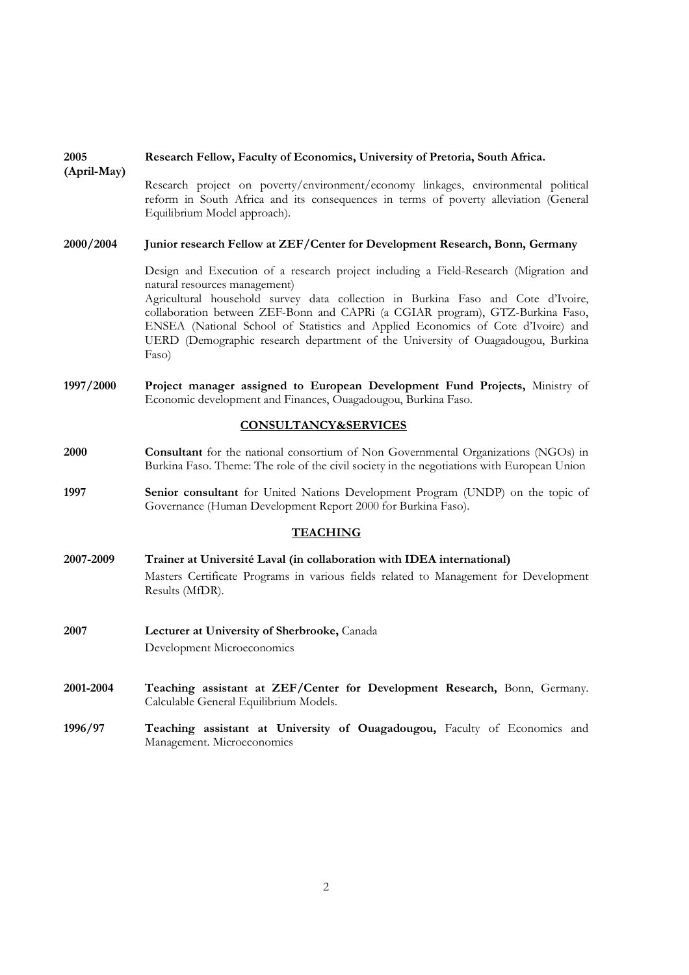| (April-May)                     | Research project on poverty/environment/economy linkages, environmental political<br>reform in South Africa and its consequences in terms of poverty alleviation (General<br>Equilibrium Model approach).                                                                                                                                                                                                                                                                  |
|---------------------------------|----------------------------------------------------------------------------------------------------------------------------------------------------------------------------------------------------------------------------------------------------------------------------------------------------------------------------------------------------------------------------------------------------------------------------------------------------------------------------|
| 2000/2004                       | Junior research Fellow at ZEF/Center for Development Research, Bonn, Germany                                                                                                                                                                                                                                                                                                                                                                                               |
|                                 | Design and Execution of a research project including a Field-Research (Migration and<br>natural resources management)<br>Agricultural household survey data collection in Burkina Faso and Cote d'Ivoire,<br>collaboration between ZEF-Bonn and CAPRi (a CGIAR program), GTZ-Burkina Faso,<br>ENSEA (National School of Statistics and Applied Economics of Cote d'Ivoire) and<br>UERD (Demographic research department of the University of Ouagadougou, Burkina<br>Faso) |
| 1997/2000                       | Project manager assigned to European Development Fund Projects, Ministry of<br>Economic development and Finances, Ouagadougou, Burkina Faso.                                                                                                                                                                                                                                                                                                                               |
| <b>CONSULTANCY&amp;SERVICES</b> |                                                                                                                                                                                                                                                                                                                                                                                                                                                                            |
| 2000                            | <b>Consultant</b> for the national consortium of Non Governmental Organizations (NGOs) in<br>Burkina Faso. Theme: The role of the civil society in the negotiations with European Union                                                                                                                                                                                                                                                                                    |
| 1997                            | Senior consultant for United Nations Development Program (UNDP) on the topic of<br>Governance (Human Development Report 2000 for Burkina Faso).                                                                                                                                                                                                                                                                                                                            |
| <b>TEACHING</b>                 |                                                                                                                                                                                                                                                                                                                                                                                                                                                                            |
| 2007-2009                       | Trainer at Université Laval (in collaboration with IDEA international)<br>Masters Certificate Programs in various fields related to Management for Development<br>Results (MfDR).                                                                                                                                                                                                                                                                                          |
| 2007                            | Lecturer at University of Sherbrooke, Canada<br>Development Microeconomics                                                                                                                                                                                                                                                                                                                                                                                                 |
| 2001-2004                       | Teaching assistant at ZEF/Center for Development Research, Bonn, Germany.<br>Calculable General Equilibrium Models.                                                                                                                                                                                                                                                                                                                                                        |
| 1996/97                         | Teaching assistant at University of Ouagadougou, Faculty of Economics and<br>Management. Microeconomics                                                                                                                                                                                                                                                                                                                                                                    |
|                                 |                                                                                                                                                                                                                                                                                                                                                                                                                                                                            |

### **2005 Research Fellow, Faculty of Economics, University of Pretoria, South Africa.**

2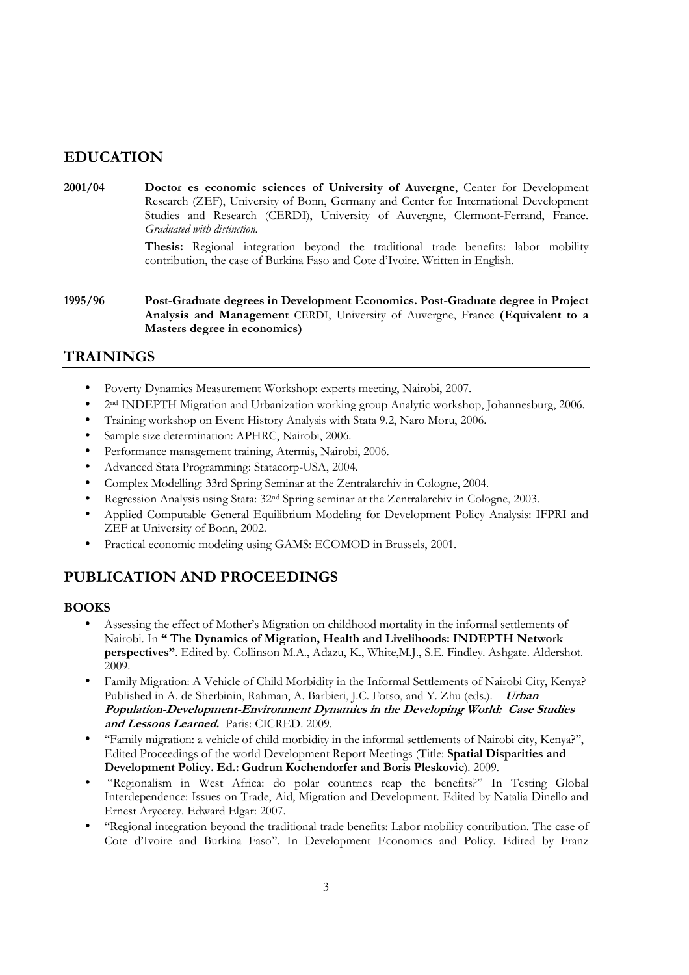## **EDUCATION**

**2001/04 Doctor es economic sciences of University of Auvergne**, Center for Development Research (ZEF), University of Bonn, Germany and Center for International Development Studies and Research (CERDI), University of Auvergne, Clermont-Ferrand, France. *Graduated with distinction.* 

> **Thesis:** Regional integration beyond the traditional trade benefits: labor mobility contribution, the case of Burkina Faso and Cote d'Ivoire. Written in English.

**1995/96 Post-Graduate degrees in Development Economics. Post-Graduate degree in Project Analysis and Management** CERDI, University of Auvergne, France **(Equivalent to a Masters degree in economics)** 

## **TRAININGS**

- Poverty Dynamics Measurement Workshop: experts meeting, Nairobi, 2007.
- 2 nd INDEPTH Migration and Urbanization working group Analytic workshop, Johannesburg, 2006.
- Training workshop on Event History Analysis with Stata 9.2, Naro Moru, 2006.
- Sample size determination: APHRC, Nairobi, 2006.
- Performance management training, Atermis, Nairobi, 2006.
- Advanced Stata Programming: Statacorp-USA, 2004.
- Complex Modelling: 33rd Spring Seminar at the Zentralarchiv in Cologne, 2004.
- Regression Analysis using Stata: 32nd Spring seminar at the Zentralarchiv in Cologne, 2003.
- Applied Computable General Equilibrium Modeling for Development Policy Analysis: IFPRI and ZEF at University of Bonn, 2002.
- Practical economic modeling using GAMS: ECOMOD in Brussels, 2001.

# **PUBLICATION AND PROCEEDINGS**

### **BOOKS**

- Assessing the effect of Mother's Migration on childhood mortality in the informal settlements of Nairobi. In **" The Dynamics of Migration, Health and Livelihoods: INDEPTH Network perspectives"**. Edited by. Collinson M.A., Adazu, K., White,M.J., S.E. Findley. Ashgate. Aldershot. 2009.
- Family Migration: A Vehicle of Child Morbidity in the Informal Settlements of Nairobi City, Kenya? Published in A. de Sherbinin, Rahman, A. Barbieri, J.C. Fotso, and Y. Zhu (eds.). **Urban Population-Development-Environment Dynamics in the Developing World: Case Studies and Lessons Learned.** Paris: CICRED. 2009.
- "Family migration: a vehicle of child morbidity in the informal settlements of Nairobi city, Kenya?", Edited Proceedings of the world Development Report Meetings (Title: **Spatial Disparities and Development Policy. Ed.: Gudrun Kochendorfer and Boris Pleskovic**). 2009.
- "Regionalism in West Africa: do polar countries reap the benefits?" In Testing Global Interdependence: Issues on Trade, Aid, Migration and Development. Edited by Natalia Dinello and Ernest Aryeetey. Edward Elgar: 2007.
- "Regional integration beyond the traditional trade benefits: Labor mobility contribution. The case of Cote d'Ivoire and Burkina Faso". In Development Economics and Policy. Edited by Franz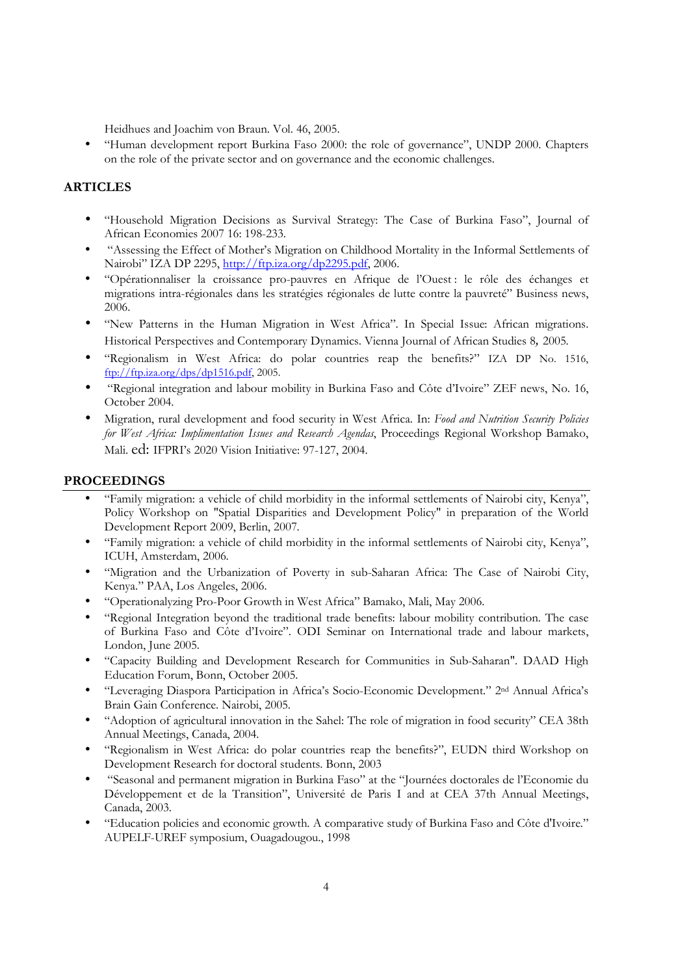Heidhues and Joachim von Braun. Vol. 46, 2005.

• "Human development report Burkina Faso 2000: the role of governance", UNDP 2000. Chapters on the role of the private sector and on governance and the economic challenges.

#### **ARTICLES**

- "Household Migration Decisions as Survival Strategy: The Case of Burkina Faso", Journal of African Economies 2007 16: 198-233.
- "Assessing the Effect of Mother's Migration on Childhood Mortality in the Informal Settlements of Nairobi" IZA DP 2295, http://ftp.iza.org/dp2295.pdf, 2006.
- "Opérationnaliser la croissance pro-pauvres en Afrique de l'Ouest : le rôle des échanges et migrations intra-régionales dans les stratégies régionales de lutte contre la pauvreté" Business news, 2006.
- "New Patterns in the Human Migration in West Africa". In Special Issue: African migrations. Historical Perspectives and Contemporary Dynamics. Vienna Journal of African Studies 8*,* 2005.
- "Regionalism in West Africa: do polar countries reap the benefits?" IZA DP No. 1516, ftp://ftp.iza.org/dps/dp1516.pdf, 2005.
- "Regional integration and labour mobility in Burkina Faso and Côte d'Ivoire" ZEF news, No. 16, October 2004.
- Migration, rural development and food security in West Africa. In: *Food and Nutrition Security Policies for West Africa: Implimentation Issues and Research Agendas*, Proceedings Regional Workshop Bamako, Mali. ed: IFPRI's 2020 Vision Initiative: 97-127, 2004.

#### **PROCEEDINGS**

- "Family migration: a vehicle of child morbidity in the informal settlements of Nairobi city, Kenya", Policy Workshop on "Spatial Disparities and Development Policy" in preparation of the World Development Report 2009, Berlin, 2007.
- "Family migration: a vehicle of child morbidity in the informal settlements of Nairobi city, Kenya", ICUH, Amsterdam, 2006.
- "Migration and the Urbanization of Poverty in sub-Saharan Africa: The Case of Nairobi City, Kenya." PAA, Los Angeles, 2006.
- "Operationalyzing Pro-Poor Growth in West Africa" Bamako, Mali, May 2006.
- "Regional Integration beyond the traditional trade benefits: labour mobility contribution. The case of Burkina Faso and Côte d'Ivoire". ODI Seminar on International trade and labour markets, London, June 2005.
- "Capacity Building and Development Research for Communities in Sub-Saharan". DAAD High Education Forum, Bonn, October 2005.
- "Leveraging Diaspora Participation in Africa's Socio-Economic Development." 2nd Annual Africa's Brain Gain Conference. Nairobi, 2005.
- "Adoption of agricultural innovation in the Sahel: The role of migration in food security" CEA 38th Annual Meetings, Canada, 2004.
- "Regionalism in West Africa: do polar countries reap the benefits?", EUDN third Workshop on Development Research for doctoral students. Bonn, 2003
- "Seasonal and permanent migration in Burkina Faso" at the "Journées doctorales de l'Economie du Développement et de la Transition", Université de Paris I and at CEA 37th Annual Meetings, Canada, 2003.
- "Education policies and economic growth. A comparative study of Burkina Faso and Côte d'Ivoire." AUPELF-UREF symposium, Ouagadougou., 1998